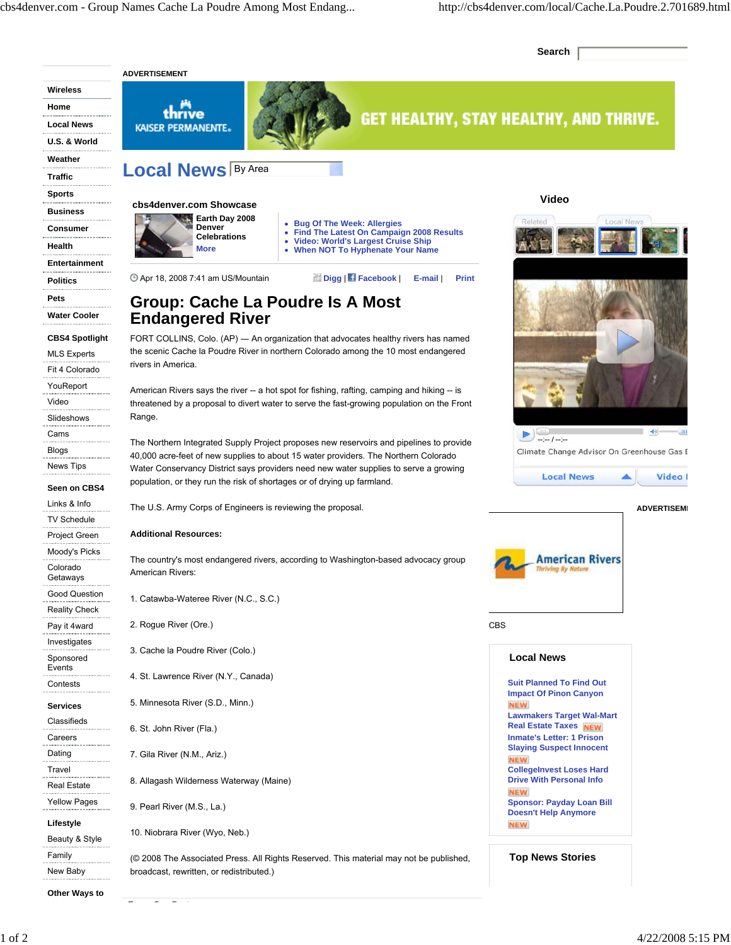**Search**

|                                             | <b>ADVERTISEMENT</b>                                                                                                                                                                      |                                                                                                                                                                                                                                                                                                                                                                     |
|---------------------------------------------|-------------------------------------------------------------------------------------------------------------------------------------------------------------------------------------------|---------------------------------------------------------------------------------------------------------------------------------------------------------------------------------------------------------------------------------------------------------------------------------------------------------------------------------------------------------------------|
| Wireless                                    |                                                                                                                                                                                           |                                                                                                                                                                                                                                                                                                                                                                     |
| Home                                        | thrive                                                                                                                                                                                    |                                                                                                                                                                                                                                                                                                                                                                     |
| <b>Local News</b>                           | <b>KAISER PERMANENTE.</b>                                                                                                                                                                 | <b>GET HEALTHY, STAY HEALTHY, AND THRIVE.</b>                                                                                                                                                                                                                                                                                                                       |
| U.S. & World                                |                                                                                                                                                                                           |                                                                                                                                                                                                                                                                                                                                                                     |
| Weather                                     |                                                                                                                                                                                           |                                                                                                                                                                                                                                                                                                                                                                     |
| Traffic                                     | <b>Local News By Area</b>                                                                                                                                                                 |                                                                                                                                                                                                                                                                                                                                                                     |
| <b>Sports</b>                               |                                                                                                                                                                                           | <b>Video</b>                                                                                                                                                                                                                                                                                                                                                        |
| <b>Business</b>                             | cbs4denver.com Showcase                                                                                                                                                                   |                                                                                                                                                                                                                                                                                                                                                                     |
| Consumer                                    | Earth Day 2008<br>• Bug Of The Week: Allergies<br>Denver<br>• Find The Latest On Campaign 2008 Results                                                                                    | <b>Local News</b><br>Related                                                                                                                                                                                                                                                                                                                                        |
| Health                                      | <b>Celebrations</b><br>• Video: World's Largest Cruise Ship<br>More<br>• When NOT To Hyphenate Your Name                                                                                  |                                                                                                                                                                                                                                                                                                                                                                     |
| Entertainment                               |                                                                                                                                                                                           |                                                                                                                                                                                                                                                                                                                                                                     |
| <b>Politics</b>                             | Digg   f Facebook  <br><b>49 Apr 18, 2008 7:41 am US/Mountain</b><br>E-mail<br><b>Print</b>                                                                                               |                                                                                                                                                                                                                                                                                                                                                                     |
| Pets                                        |                                                                                                                                                                                           |                                                                                                                                                                                                                                                                                                                                                                     |
| <b>Water Cooler</b>                         | <b>Group: Cache La Poudre Is A Most</b><br><b>Endangered River</b>                                                                                                                        |                                                                                                                                                                                                                                                                                                                                                                     |
|                                             |                                                                                                                                                                                           |                                                                                                                                                                                                                                                                                                                                                                     |
| <b>CBS4 Spotlight</b><br><b>MLS Experts</b> | FORT COLLINS, Colo. (AP) - An organization that advocates healthy rivers has named<br>the scenic Cache la Poudre River in northern Colorado among the 10 most endangered                  |                                                                                                                                                                                                                                                                                                                                                                     |
| Fit 4 Colorado                              | rivers in America.                                                                                                                                                                        |                                                                                                                                                                                                                                                                                                                                                                     |
| YouReport                                   |                                                                                                                                                                                           |                                                                                                                                                                                                                                                                                                                                                                     |
| Video                                       | American Rivers says the river -- a hot spot for fishing, rafting, camping and hiking -- is<br>threatened by a proposal to divert water to serve the fast-growing population on the Front |                                                                                                                                                                                                                                                                                                                                                                     |
| Slideshows                                  | Range.                                                                                                                                                                                    |                                                                                                                                                                                                                                                                                                                                                                     |
| Cams                                        |                                                                                                                                                                                           | 40 <br>$\begin{picture}(20,20) \put(0,0){\line(1,0){10}} \put(15,0){\line(1,0){10}} \put(15,0){\line(1,0){10}} \put(15,0){\line(1,0){10}} \put(15,0){\line(1,0){10}} \put(15,0){\line(1,0){10}} \put(15,0){\line(1,0){10}} \put(15,0){\line(1,0){10}} \put(15,0){\line(1,0){10}} \put(15,0){\line(1,0){10}} \put(15,0){\line(1,0){10}} \put(15,0){\line(1$<br>- 111 |
| Blogs                                       | The Northern Integrated Supply Project proposes new reservoirs and pipelines to provide<br>40,000 acre-feet of new supplies to about 15 water providers. The Northern Colorado            | Climate Change Advisor On Greenhouse Gas E                                                                                                                                                                                                                                                                                                                          |
| News Tips                                   | Water Conservancy District says providers need new water supplies to serve a growing                                                                                                      |                                                                                                                                                                                                                                                                                                                                                                     |
| Seen on CBS4                                | population, or they run the risk of shortages or of drying up farmland.                                                                                                                   | <b>Local News</b><br>Video I                                                                                                                                                                                                                                                                                                                                        |
| Links & Info                                | The U.S. Army Corps of Engineers is reviewing the proposal.                                                                                                                               | <b>ADVERTISEMI</b>                                                                                                                                                                                                                                                                                                                                                  |
| TV Schedule                                 |                                                                                                                                                                                           |                                                                                                                                                                                                                                                                                                                                                                     |
| Project Green                               | <b>Additional Resources:</b>                                                                                                                                                              |                                                                                                                                                                                                                                                                                                                                                                     |
| Moody's Picks                               | The country's most endangered rivers, according to Washington-based advocacy group                                                                                                        | American Rivers                                                                                                                                                                                                                                                                                                                                                     |
| Colorado<br>Getaways                        | American Rivers:                                                                                                                                                                          | hriving By Natur                                                                                                                                                                                                                                                                                                                                                    |
| Good Question                               |                                                                                                                                                                                           |                                                                                                                                                                                                                                                                                                                                                                     |
| <b>Reality Check</b>                        | 1. Catawba-Wateree River (N.C., S.C.)                                                                                                                                                     |                                                                                                                                                                                                                                                                                                                                                                     |
| Pay it 4ward                                | 2. Rogue River (Ore.)                                                                                                                                                                     | <b>CBS</b>                                                                                                                                                                                                                                                                                                                                                          |
| Investigates                                |                                                                                                                                                                                           |                                                                                                                                                                                                                                                                                                                                                                     |
| Sponsored                                   | 3. Cache la Poudre River (Colo.)                                                                                                                                                          | <b>Local News</b>                                                                                                                                                                                                                                                                                                                                                   |
| Events<br>Contests                          | 4. St. Lawrence River (N.Y., Canada)                                                                                                                                                      | <b>Suit Planned To Find Out</b>                                                                                                                                                                                                                                                                                                                                     |
|                                             | 5. Minnesota River (S.D., Minn.)                                                                                                                                                          | <b>Impact Of Pinon Canyon</b>                                                                                                                                                                                                                                                                                                                                       |
| <b>Services</b>                             |                                                                                                                                                                                           | <b>NEW</b><br><b>Lawmakers Target Wal-Mart</b>                                                                                                                                                                                                                                                                                                                      |
| Classifieds<br>Careers                      | 6. St. John River (Fla.)                                                                                                                                                                  | <b>Real Estate Taxes NEW</b><br><b>Inmate's Letter: 1 Prison</b>                                                                                                                                                                                                                                                                                                    |
| Dating                                      | 7. Gila River (N.M., Ariz.)                                                                                                                                                               | <b>Slaying Suspect Innocent</b>                                                                                                                                                                                                                                                                                                                                     |
| Travel                                      |                                                                                                                                                                                           | <b>NEW</b><br><b>CollegeInvest Loses Hard</b>                                                                                                                                                                                                                                                                                                                       |
| Real Estate                                 | 8. Allagash Wilderness Waterway (Maine)                                                                                                                                                   | <b>Drive With Personal Info</b>                                                                                                                                                                                                                                                                                                                                     |
| <br><b>Yellow Pages</b>                     |                                                                                                                                                                                           | <b>NEW</b><br><b>Sponsor: Payday Loan Bill</b>                                                                                                                                                                                                                                                                                                                      |
| Lifestyle                                   | 9. Pearl River (M.S., La.)                                                                                                                                                                | <b>Doesn't Help Anymore</b>                                                                                                                                                                                                                                                                                                                                         |
| Beauty & Style                              | 10. Niobrara River (Wyo, Neb.)                                                                                                                                                            | <b>NEW</b>                                                                                                                                                                                                                                                                                                                                                          |
| Family                                      |                                                                                                                                                                                           |                                                                                                                                                                                                                                                                                                                                                                     |
| New Baby                                    | (© 2008 The Associated Press. All Rights Reserved. This material may not be published,<br>broadcast, rewritten, or redistributed.)                                                        | <b>Top News Stories</b>                                                                                                                                                                                                                                                                                                                                             |
|                                             |                                                                                                                                                                                           |                                                                                                                                                                                                                                                                                                                                                                     |
| Other Ways to                               |                                                                                                                                                                                           |                                                                                                                                                                                                                                                                                                                                                                     |